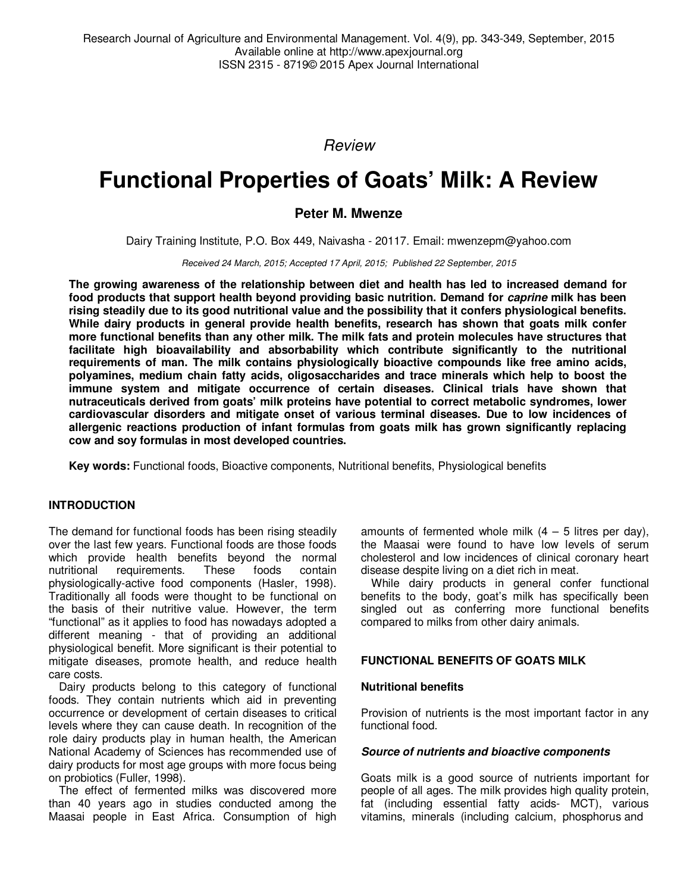Review

# **Functional Properties of Goats' Milk: A Review**

**Peter M. Mwenze** 

Dairy Training Institute, P.O. Box 449, Naivasha - 20117. Email: mwenzepm@yahoo.com

Received 24 March, 2015; Accepted 17 April, 2015; Published 22 September, 2015

**The growing awareness of the relationship between diet and health has led to increased demand for food products that support health beyond providing basic nutrition. Demand for caprine milk has been rising steadily due to its good nutritional value and the possibility that it confers physiological benefits. While dairy products in general provide health benefits, research has shown that goats milk confer more functional benefits than any other milk. The milk fats and protein molecules have structures that facilitate high bioavailability and absorbability which contribute significantly to the nutritional requirements of man. The milk contains physiologically bioactive compounds like free amino acids, polyamines, medium chain fatty acids, oligosaccharides and trace minerals which help to boost the immune system and mitigate occurrence of certain diseases. Clinical trials have shown that nutraceuticals derived from goats' milk proteins have potential to correct metabolic syndromes, lower cardiovascular disorders and mitigate onset of various terminal diseases. Due to low incidences of allergenic reactions production of infant formulas from goats milk has grown significantly replacing cow and soy formulas in most developed countries.** 

**Key words:** Functional foods, Bioactive components, Nutritional benefits, Physiological benefits

# **INTRODUCTION**

The demand for functional foods has been rising steadily over the last few years. Functional foods are those foods which provide health benefits beyond the normal<br>nutritional requirements. These foods contain requirements. These foods contain physiologically-active food components (Hasler, 1998). Traditionally all foods were thought to be functional on the basis of their nutritive value. However, the term "functional" as it applies to food has nowadays adopted a different meaning - that of providing an additional physiological benefit. More significant is their potential to mitigate diseases, promote health, and reduce health care costs.

Dairy products belong to this category of functional foods. They contain nutrients which aid in preventing occurrence or development of certain diseases to critical levels where they can cause death. In recognition of the role dairy products play in human health, the American National Academy of Sciences has recommended use of dairy products for most age groups with more focus being on probiotics (Fuller, 1998).

The effect of fermented milks was discovered more than 40 years ago in studies conducted among the Maasai people in East Africa. Consumption of high

amounts of fermented whole milk  $(4 - 5)$  litres per day), the Maasai were found to have low levels of serum cholesterol and low incidences of clinical coronary heart disease despite living on a diet rich in meat.

While dairy products in general confer functional benefits to the body, goat's milk has specifically been singled out as conferring more functional benefits compared to milks from other dairy animals.

# **FUNCTIONAL BENEFITS OF GOATS MILK**

#### **Nutritional benefits**

Provision of nutrients is the most important factor in any functional food.

# **Source of nutrients and bioactive components**

Goats milk is a good source of nutrients important for people of all ages. The milk provides high quality protein, fat (including essential fatty acids- MCT), various vitamins, minerals (including calcium, phosphorus and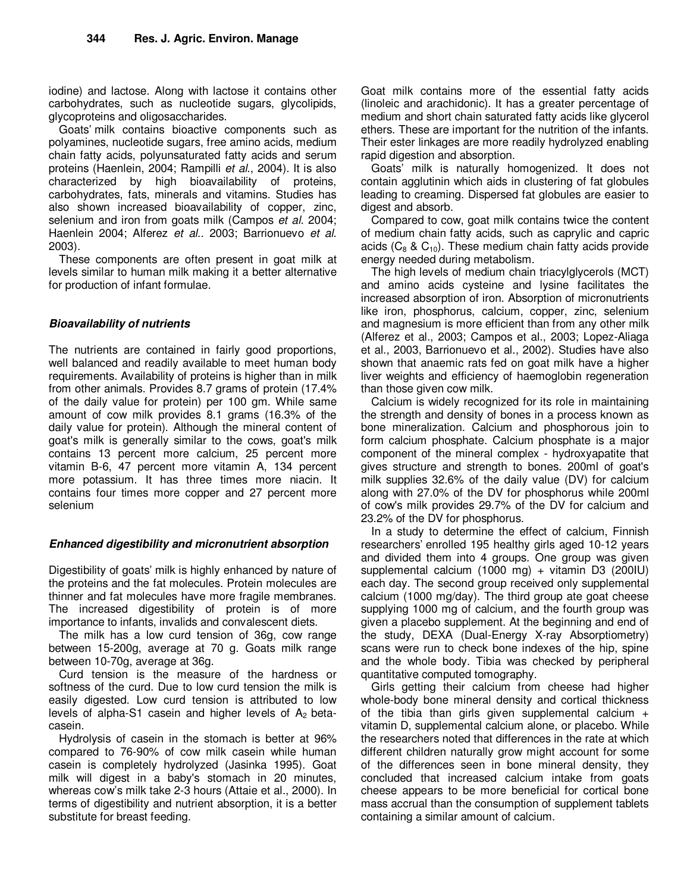iodine) and lactose. Along with lactose it contains other carbohydrates, such as nucleotide sugars, glycolipids, glycoproteins and oligosaccharides.

Goats' milk contains bioactive components such as polyamines, nucleotide sugars, free amino acids, medium chain fatty acids, polyunsaturated fatty acids and serum proteins (Haenlein, 2004; Rampilli et al., 2004). It is also characterized by high bioavailability of proteins, carbohydrates, fats, minerals and vitamins. Studies has also shown increased bioavailability of copper, zinc, selenium and iron from goats milk (Campos et al. 2004; Haenlein 2004; Alferez et al.. 2003; Barrionuevo et al. 2003).

These components are often present in goat milk at levels similar to human milk making it a better alternative for production of infant formulae.

#### **Bioavailability of nutrients**

The nutrients are contained in fairly good proportions, well balanced and readily available to meet human body requirements. Availability of proteins is higher than in milk from other animals. Provides 8.7 grams of protein (17.4% of the daily value for protein) per 100 gm. While same amount of cow milk provides 8.1 grams (16.3% of the daily value for protein). Although the mineral content of goat's milk is generally similar to the cows, goat's milk contains 13 percent more calcium, 25 percent more vitamin B-6, 47 percent more vitamin A, 134 percent more potassium. It has three times more niacin. It contains four times more copper and 27 percent more selenium

#### **Enhanced digestibility and micronutrient absorption**

Digestibility of goats' milk is highly enhanced by nature of the proteins and the fat molecules. Protein molecules are thinner and fat molecules have more fragile membranes. The increased digestibility of protein is of more importance to infants, invalids and convalescent diets.

The milk has a low curd tension of 36g, cow range between 15-200g, average at 70 g. Goats milk range between 10-70g, average at 36g.

Curd tension is the measure of the hardness or softness of the curd. Due to low curd tension the milk is easily digested. Low curd tension is attributed to low levels of alpha-S1 casein and higher levels of  $A_2$  betacasein.

Hydrolysis of casein in the stomach is better at 96% compared to 76-90% of cow milk casein while human casein is completely hydrolyzed (Jasinka 1995). Goat milk will digest in a baby's stomach in 20 minutes, whereas cow's milk take 2-3 hours (Attaie et al., 2000). In terms of digestibility and nutrient absorption, it is a better substitute for breast feeding.

Goat milk contains more of the essential fatty acids (linoleic and arachidonic). It has a greater percentage of medium and short chain saturated fatty acids like glycerol ethers. These are important for the nutrition of the infants. Their ester linkages are more readily hydrolyzed enabling rapid digestion and absorption.

Goats' milk is naturally homogenized. It does not contain agglutinin which aids in clustering of fat globules leading to creaming. Dispersed fat globules are easier to digest and absorb.

Compared to cow, goat milk contains twice the content of medium chain fatty acids, such as caprylic and capric acids ( $C_8$  &  $C_{10}$ ). These medium chain fatty acids provide energy needed during metabolism.

The high levels of medium chain triacylglycerols (MCT) and amino acids cysteine and lysine facilitates the increased absorption of iron. Absorption of micronutrients like iron, phosphorus, calcium, copper, zinc, selenium and magnesium is more efficient than from any other milk (Alferez et al., 2003; Campos et al., 2003; Lopez-Aliaga et al., 2003, Barrionuevo et al., 2002). Studies have also shown that anaemic rats fed on goat milk have a higher liver weights and efficiency of haemoglobin regeneration than those given cow milk.

Calcium is widely recognized for its role in maintaining the strength and density of bones in a process known as bone mineralization. Calcium and phosphorous join to form calcium phosphate. Calcium phosphate is a major component of the mineral complex - hydroxyapatite that gives structure and strength to bones. 200ml of goat's milk supplies 32.6% of the daily value (DV) for calcium along with 27.0% of the DV for phosphorus while 200ml of cow's milk provides 29.7% of the DV for calcium and 23.2% of the DV for phosphorus.

In a study to determine the effect of calcium, Finnish researchers' enrolled 195 healthy girls aged 10-12 years and divided them into 4 groups. One group was given supplemental calcium (1000 mg) + vitamin D3 (200IU) each day. The second group received only supplemental calcium (1000 mg/day). The third group ate goat cheese supplying 1000 mg of calcium, and the fourth group was given a placebo supplement. At the beginning and end of the study, DEXA (Dual-Energy X-ray Absorptiometry) scans were run to check bone indexes of the hip, spine and the whole body. Tibia was checked by peripheral quantitative computed tomography.

Girls getting their calcium from cheese had higher whole-body bone mineral density and cortical thickness of the tibia than girls given supplemental calcium  $+$ vitamin D, supplemental calcium alone, or placebo. While the researchers noted that differences in the rate at which different children naturally grow might account for some of the differences seen in bone mineral density, they concluded that increased calcium intake from goats cheese appears to be more beneficial for cortical bone mass accrual than the consumption of supplement tablets containing a similar amount of calcium.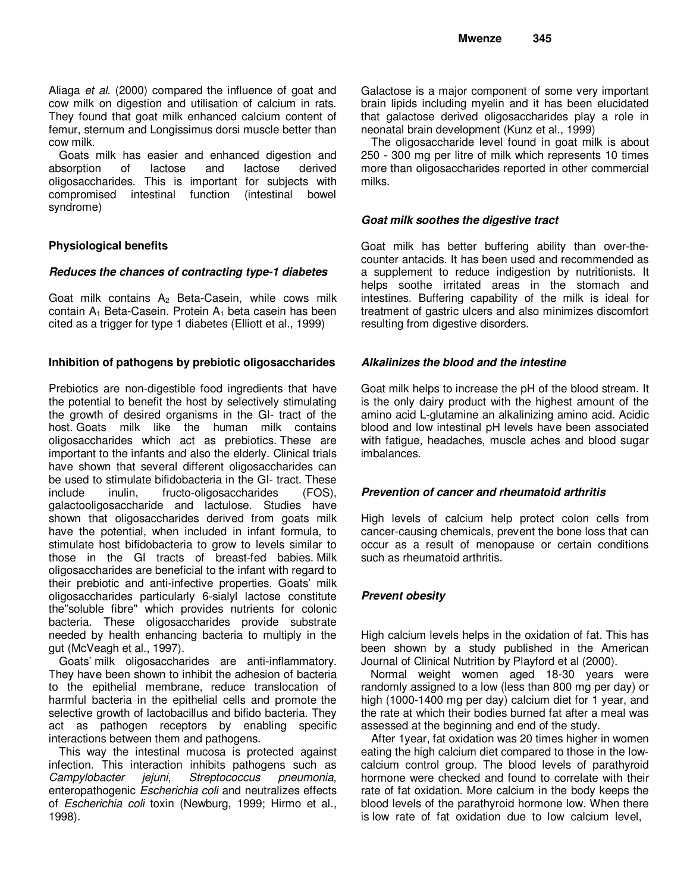Aliaga et al. (2000) compared the influence of goat and cow milk on digestion and utilisation of calcium in rats. They found that goat milk enhanced calcium content of femur, sternum and Longissimus dorsi muscle better than cow milk.

Goats milk has easier and enhanced digestion and absorption of lactose and lactose derived oligosaccharides. This is important for subjects with compromised intestinal function (intestinal bowel syndrome)

# **Physiological benefits**

#### **Reduces the chances of contracting type-1 diabetes**

Goat milk contains  $A_2$  Beta-Casein, while cows milk contain  $A_1$  Beta-Casein. Protein  $A_1$  beta casein has been cited as a trigger for type 1 diabetes (Elliott et al., 1999)

#### **Inhibition of pathogens by prebiotic oligosaccharides**

Prebiotics are non-digestible food ingredients that have the potential to benefit the host by selectively stimulating the growth of desired organisms in the GI- tract of the host. Goats milk like the human milk contains oligosaccharides which act as prebiotics. These are important to the infants and also the elderly. Clinical trials have shown that several different oligosaccharides can be used to stimulate bifidobacteria in the GI- tract. These include inulin, fructo-oligosaccharides (FOS), galactooligosaccharide and lactulose. Studies have shown that oligosaccharides derived from goats milk have the potential, when included in infant formula, to stimulate host bifidobacteria to grow to levels similar to those in the GI tracts of breast-fed babies. Milk oligosaccharides are beneficial to the infant with regard to their prebiotic and anti-infective properties. Goats' milk oligosaccharides particularly 6-sialyl lactose constitute the"soluble fibre" which provides nutrients for colonic bacteria. These oligosaccharides provide substrate needed by health enhancing bacteria to multiply in the gut (McVeagh et al., 1997).

Goats' milk oligosaccharides are anti-inflammatory. They have been shown to inhibit the adhesion of bacteria to the epithelial membrane, reduce translocation of harmful bacteria in the epithelial cells and promote the selective growth of lactobacillus and bifido bacteria. They act as pathogen receptors by enabling specific interactions between them and pathogens.

This way the intestinal mucosa is protected against infection. This interaction inhibits pathogens such as Campylobacter jejuni, Streptococcus pneumonia, enteropathogenic Escherichia coli and neutralizes effects of Escherichia coli toxin (Newburg, 1999; Hirmo et al., 1998).

Galactose is a major component of some very important brain lipids including myelin and it has been elucidated that galactose derived oligosaccharides play a role in neonatal brain development (Kunz et al., 1999)

The oligosaccharide level found in goat milk is about 250 - 300 mg per litre of milk which represents 10 times more than oligosaccharides reported in other commercial milks.

#### **Goat milk soothes the digestive tract**

Goat milk has better buffering ability than over-thecounter antacids. It has been used and recommended as a supplement to reduce indigestion by nutritionists. It helps soothe irritated areas in the stomach and intestines. Buffering capability of the milk is ideal for treatment of gastric ulcers and also minimizes discomfort resulting from digestive disorders.

#### **Alkalinizes the blood and the intestine**

Goat milk helps to increase the pH of the blood stream. It is the only dairy product with the highest amount of the amino acid L-glutamine an alkalinizing amino acid. Acidic blood and low intestinal pH levels have been associated with fatigue, headaches, muscle aches and blood sugar imbalances.

#### **Prevention of cancer and rheumatoid arthritis**

High levels of calcium help protect colon cells from cancer-causing chemicals, prevent the bone loss that can occur as a result of menopause or certain conditions such as rheumatoid arthritis.

# **Prevent obesity**

High calcium levels helps in the oxidation of fat. This has been shown by a study published in the American Journal of Clinical Nutrition by Playford et al (2000).

 Normal weight women aged 18-30 years were randomly assigned to a low (less than 800 mg per day) or high (1000-1400 mg per day) calcium diet for 1 year, and the rate at which their bodies burned fat after a meal was assessed at the beginning and end of the study.

After 1year, fat oxidation was 20 times higher in women eating the high calcium diet compared to those in the lowcalcium control group. The blood levels of parathyroid hormone were checked and found to correlate with their rate of fat oxidation. More calcium in the body keeps the blood levels of the parathyroid hormone low. When there is low rate of fat oxidation due to low calcium level,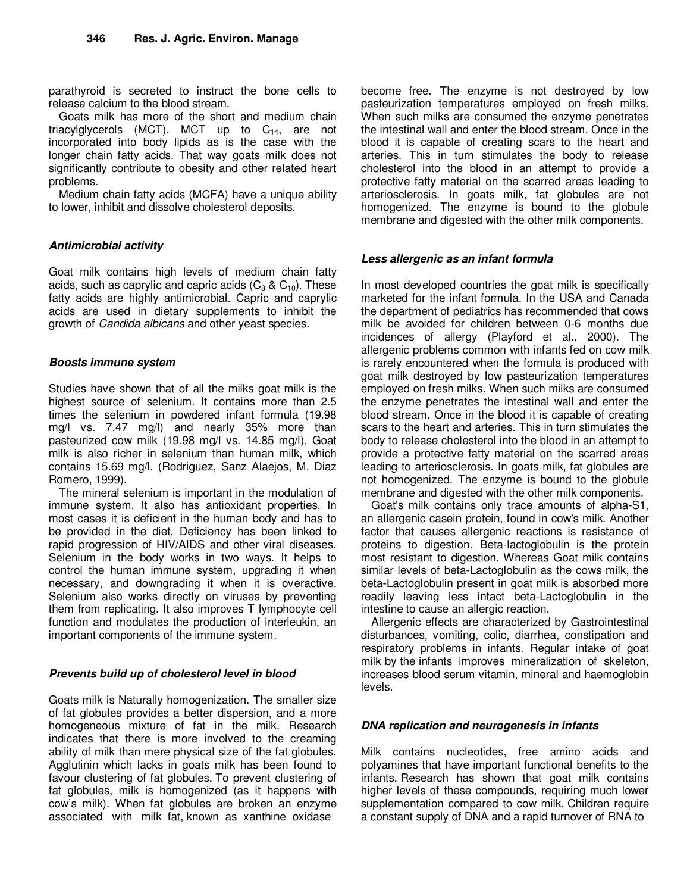parathyroid is secreted to instruct the bone cells to release calcium to the blood stream.

Goats milk has more of the short and medium chain triacylglycerols (MCT). MCT up to  $C_{14}$ , are not incorporated into body lipids as is the case with the longer chain fatty acids. That way goats milk does not significantly contribute to obesity and other related heart problems.

Medium chain fatty acids (MCFA) have a unique ability to lower, inhibit and dissolve cholesterol deposits.

# **Antimicrobial activity**

Goat milk contains high levels of medium chain fatty acids, such as caprylic and capric acids  $(C_8 \& C_{10})$ . These fatty acids are highly antimicrobial. Capric and caprylic acids are used in dietary supplements to inhibit the growth of Candida albicans and other yeast species.

# **Boosts immune system**

Studies have shown that of all the milks goat milk is the highest source of selenium. It contains more than 2.5 times the selenium in powdered infant formula (19.98 mg/l vs. 7.47 mg/l) and nearly 35% more than pasteurized cow milk (19.98 mg/l vs. 14.85 mg/l). Goat milk is also richer in selenium than human milk, which contains 15.69 mg/l. (Rodriguez, Sanz Alaejos, M. Diaz Romero, 1999).

The mineral selenium is important in the modulation of immune system. It also has antioxidant properties. In most cases it is deficient in the human body and has to be provided in the diet. Deficiency has been linked to rapid progression of HIV/AIDS and other viral diseases. Selenium in the body works in two ways. It helps to control the human immune system, upgrading it when necessary, and downgrading it when it is overactive. Selenium also works directly on viruses by preventing them from replicating. It also improves T lymphocyte cell function and modulates the production of interleukin, an important components of the immune system.

# **Prevents build up of cholesterol level in blood**

Goats milk is Naturally homogenization. The smaller size of fat globules provides a better dispersion, and a more homogeneous mixture of fat in the milk. Research indicates that there is more involved to the creaming ability of milk than mere physical size of the fat globules. Agglutinin which lacks in goats milk has been found to favour clustering of fat globules. To prevent clustering of fat globules, milk is homogenized (as it happens with cow's milk). When fat globules are broken an enzyme associated with milk fat, known as xanthine oxidase

become free. The enzyme is not destroyed by low pasteurization temperatures employed on fresh milks. When such milks are consumed the enzyme penetrates the intestinal wall and enter the blood stream. Once in the blood it is capable of creating scars to the heart and arteries. This in turn stimulates the body to release cholesterol into the blood in an attempt to provide a protective fatty material on the scarred areas leading to arteriosclerosis. In goats milk, fat globules are not homogenized. The enzyme is bound to the globule membrane and digested with the other milk components.

#### **Less allergenic as an infant formula**

In most developed countries the goat milk is specifically marketed for the infant formula. In the USA and Canada the department of pediatrics has recommended that cows milk be avoided for children between 0-6 months due incidences of allergy (Playford et al., 2000). The allergenic problems common with infants fed on cow milk is rarely encountered when the formula is produced with goat milk destroyed by low pasteurization temperatures employed on fresh milks. When such milks are consumed the enzyme penetrates the intestinal wall and enter the blood stream. Once in the blood it is capable of creating scars to the heart and arteries. This in turn stimulates the body to release cholesterol into the blood in an attempt to provide a protective fatty material on the scarred areas leading to arteriosclerosis. In goats milk, fat globules are not homogenized. The enzyme is bound to the globule membrane and digested with the other milk components.

Goat's milk contains only trace amounts of alpha-S1, an allergenic casein protein, found in cow's milk. Another factor that causes allergenic reactions is resistance of proteins to digestion. Beta-lactoglobulin is the protein most resistant to digestion. Whereas Goat milk contains similar levels of beta-Lactoglobulin as the cows milk, the beta-Lactoglobulin present in goat milk is absorbed more readily leaving less intact beta-Lactoglobulin in the intestine to cause an allergic reaction.

Allergenic effects are characterized by Gastrointestinal disturbances, vomiting, colic, diarrhea, constipation and respiratory problems in infants. Regular intake of goat milk by the infants improves mineralization of skeleton, increases blood serum vitamin, mineral and haemoglobin levels.

# **DNA replication and neurogenesis in infants**

Milk contains nucleotides, free amino acids and polyamines that have important functional benefits to the infants. Research has shown that goat milk contains higher levels of these compounds, requiring much lower supplementation compared to cow milk. Children require a constant supply of DNA and a rapid turnover of RNA to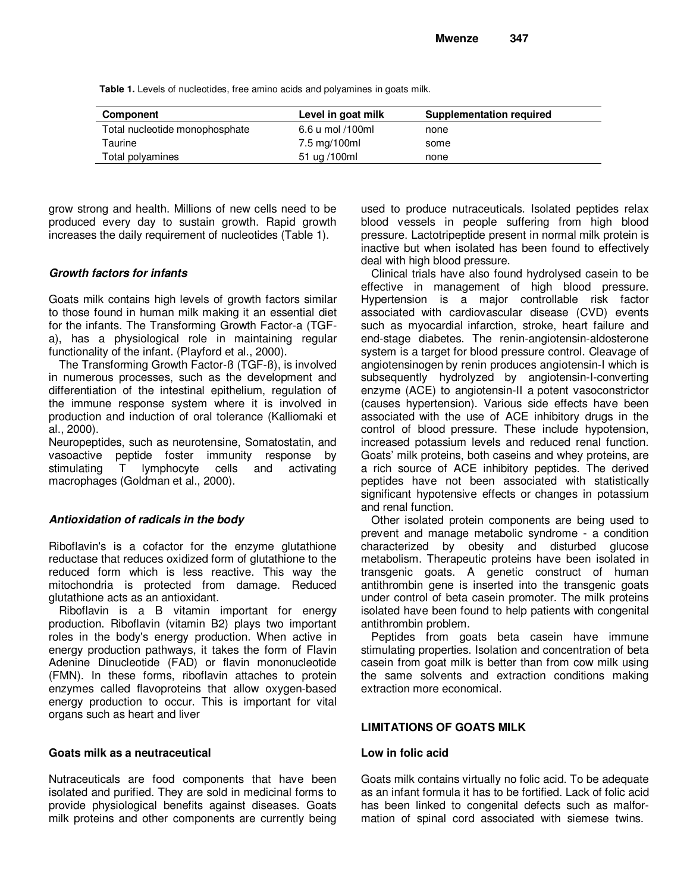**Table 1.** Levels of nucleotides, free amino acids and polyamines in goats milk.

| Component                      | Level in goat milk | Supplementation required |
|--------------------------------|--------------------|--------------------------|
| Total nucleotide monophosphate | 6.6 u mol /100ml   | none                     |
| Taurine                        | 7.5 mg/100ml       | some                     |
| Total polyamines               | 51 ug /100ml       | none                     |

grow strong and health. Millions of new cells need to be produced every day to sustain growth. Rapid growth increases the daily requirement of nucleotides (Table 1).

#### **Growth factors for infants**

Goats milk contains high levels of growth factors similar to those found in human milk making it an essential diet for the infants. The Transforming Growth Factor-a (TGFa), has a physiological role in maintaining regular functionality of the infant. (Playford et al., 2000).

The Transforming Growth Factor-ß (TGF-ß), is involved in numerous processes, such as the development and differentiation of the intestinal epithelium, regulation of the immune response system where it is involved in production and induction of oral tolerance (Kalliomaki et al., 2000).

Neuropeptides, such as neurotensine, Somatostatin, and vasoactive peptide foster immunity response by stimulating T lymphocyte cells and activating macrophages (Goldman et al., 2000).

# **Antioxidation of radicals in the body**

Riboflavin's is a cofactor for the enzyme glutathione reductase that reduces oxidized form of glutathione to the reduced form which is less reactive. This way the mitochondria is protected from damage. Reduced glutathione acts as an antioxidant.

Riboflavin is a B vitamin important for energy production. Riboflavin (vitamin B2) plays two important roles in the body's energy production. When active in energy production pathways, it takes the form of Flavin Adenine Dinucleotide (FAD) or flavin mononucleotide (FMN). In these forms, riboflavin attaches to protein enzymes called flavoproteins that allow oxygen-based energy production to occur. This is important for vital organs such as heart and liver

#### **Goats milk as a neutraceutical**

Nutraceuticals are food components that have been isolated and purified. They are sold in medicinal forms to provide physiological benefits against diseases. Goats milk proteins and other components are currently being used to produce nutraceuticals. Isolated peptides relax blood vessels in people suffering from high blood pressure. Lactotripeptide present in normal milk protein is inactive but when isolated has been found to effectively deal with high blood pressure.

Clinical trials have also found hydrolysed casein to be effective in management of high blood pressure. Hypertension is a major controllable risk factor associated with cardiovascular disease (CVD) events such as myocardial infarction, stroke, heart failure and end-stage diabetes. The renin-angiotensin-aldosterone system is a target for blood pressure control. Cleavage of angiotensinogen by renin produces angiotensin-I which is subsequently hydrolyzed by angiotensin-I-converting enzyme (ACE) to angiotensin-II a potent vasoconstrictor (causes hypertension). Various side effects have been associated with the use of ACE inhibitory drugs in the control of blood pressure. These include hypotension, increased potassium levels and reduced renal function. Goats' milk proteins, both caseins and whey proteins, are a rich source of ACE inhibitory peptides. The derived peptides have not been associated with statistically significant hypotensive effects or changes in potassium and renal function.

Other isolated protein components are being used to prevent and manage metabolic syndrome - a condition characterized by obesity and disturbed glucose metabolism. Therapeutic proteins have been isolated in transgenic goats. A genetic construct of human antithrombin gene is inserted into the transgenic goats under control of beta casein promoter. The milk proteins isolated have been found to help patients with congenital antithrombin problem.

Peptides from goats beta casein have immune stimulating properties. Isolation and concentration of beta casein from goat milk is better than from cow milk using the same solvents and extraction conditions making extraction more economical.

#### **LIMITATIONS OF GOATS MILK**

#### **Low in folic acid**

Goats milk contains virtually no folic acid. To be adequate as an infant formula it has to be fortified. Lack of folic acid has been linked to congenital defects such as malformation of spinal cord associated with siemese twins.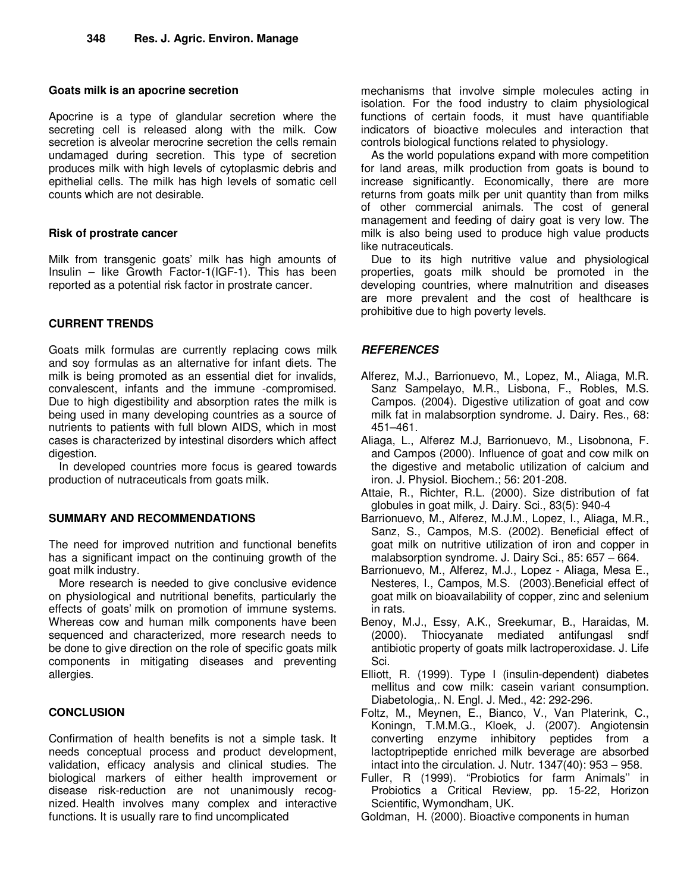#### **Goats milk is an apocrine secretion**

Apocrine is a type of glandular secretion where the secreting cell is released along with the milk. Cow secretion is alveolar merocrine secretion the cells remain undamaged during secretion. This type of secretion produces milk with high levels of cytoplasmic debris and epithelial cells. The milk has high levels of somatic cell counts which are not desirable.

# **Risk of prostrate cancer**

Milk from transgenic goats' milk has high amounts of Insulin – like Growth Factor-1(IGF-1). This has been reported as a potential risk factor in prostrate cancer.

# **CURRENT TRENDS**

Goats milk formulas are currently replacing cows milk and soy formulas as an alternative for infant diets. The milk is being promoted as an essential diet for invalids, convalescent, infants and the immune -compromised. Due to high digestibility and absorption rates the milk is being used in many developing countries as a source of nutrients to patients with full blown AIDS, which in most cases is characterized by intestinal disorders which affect digestion.

In developed countries more focus is geared towards production of nutraceuticals from goats milk.

# **SUMMARY AND RECOMMENDATIONS**

The need for improved nutrition and functional benefits has a significant impact on the continuing growth of the goat milk industry.

More research is needed to give conclusive evidence on physiological and nutritional benefits, particularly the effects of goats' milk on promotion of immune systems. Whereas cow and human milk components have been sequenced and characterized, more research needs to be done to give direction on the role of specific goats milk components in mitigating diseases and preventing allergies.

# **CONCLUSION**

Confirmation of health benefits is not a simple task. It needs conceptual process and product development, validation, efficacy analysis and clinical studies. The biological markers of either health improvement or disease risk-reduction are not unanimously recognized. Health involves many complex and interactive functions. It is usually rare to find uncomplicated

mechanisms that involve simple molecules acting in isolation. For the food industry to claim physiological functions of certain foods, it must have quantifiable indicators of bioactive molecules and interaction that controls biological functions related to physiology.

As the world populations expand with more competition for land areas, milk production from goats is bound to increase significantly. Economically, there are more returns from goats milk per unit quantity than from milks of other commercial animals. The cost of general management and feeding of dairy goat is very low. The milk is also being used to produce high value products like nutraceuticals.

Due to its high nutritive value and physiological properties, goats milk should be promoted in the developing countries, where malnutrition and diseases are more prevalent and the cost of healthcare is prohibitive due to high poverty levels.

# **REFERENCES**

- Alferez, M.J., Barrionuevo, M., Lopez, M., Aliaga, M.R. Sanz Sampelayo, M.R., Lisbona, F., Robles, M.S. Campos. (2004). Digestive utilization of goat and cow milk fat in malabsorption syndrome. J. Dairy. Res., 68: 451–461.
- Aliaga, L., Alferez M.J, Barrionuevo, M., Lisobnona, F. and Campos (2000). Influence of goat and cow milk on the digestive and metabolic utilization of calcium and iron. J. Physiol. Biochem.; 56: 201-208.
- Attaie, R., Richter, R.L. (2000). Size distribution of fat globules in goat milk, J. Dairy. Sci., 83(5): 940-4
- Barrionuevo, M., Alferez, M.J.M., Lopez, I., Aliaga, M.R., Sanz, S., Campos, M.S. (2002). Beneficial effect of goat milk on nutritive utilization of iron and copper in malabsorption syndrome. J. Dairy Sci., 85: 657 – 664.
- Barrionuevo, M., Alferez, M.J., Lopez Aliaga, Mesa E., Nesteres, I., Campos, M.S. (2003).Beneficial effect of goat milk on bioavailability of copper, zinc and selenium in rats.
- Benoy, M.J., Essy, A.K., Sreekumar, B., Haraidas, M. (2000). Thiocyanate mediated antifungasl sndf antibiotic property of goats milk lactroperoxidase. J. Life Sci.
- Elliott, R. (1999). Type I (insulin-dependent) diabetes mellitus and cow milk: casein variant consumption. Diabetologia,. N. Engl. J. Med., 42: 292-296.
- Foltz, M., Meynen, E., Bianco, V., Van Platerink, C., Koningn, T.M.M.G., Kloek, J. (2007). Angiotensin converting enzyme inhibitory peptides from a lactoptripeptide enriched milk beverage are absorbed intact into the circulation. J. Nutr. 1347(40): 953 – 958.
- Fuller, R (1999). "Probiotics for farm Animals'' in Probiotics a Critical Review, pp. 15-22, Horizon Scientific, Wymondham, UK.
- Goldman, H. (2000). Bioactive components in human